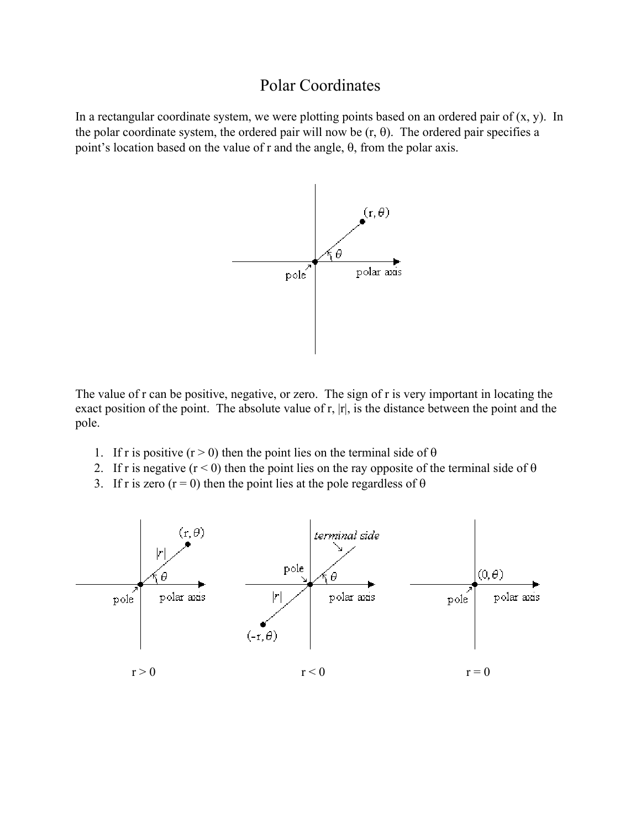## Polar Coordinates

In a rectangular coordinate system, we were plotting points based on an ordered pair of  $(x, y)$ . In the polar coordinate system, the ordered pair will now be  $(r, \theta)$ . The ordered pair specifies a point's location based on the value of r and the angle, θ, from the polar axis.



The value of r can be positive, negative, or zero. The sign of r is very important in locating the exact position of the point. The absolute value of r, |r|, is the distance between the point and the pole.

- 1. If r is positive (r > 0) then the point lies on the terminal side of  $\theta$
- 2. If r is negative  $(r < 0)$  then the point lies on the ray opposite of the terminal side of  $\theta$
- 3. If r is zero (r = 0) then the point lies at the pole regardless of  $\theta$

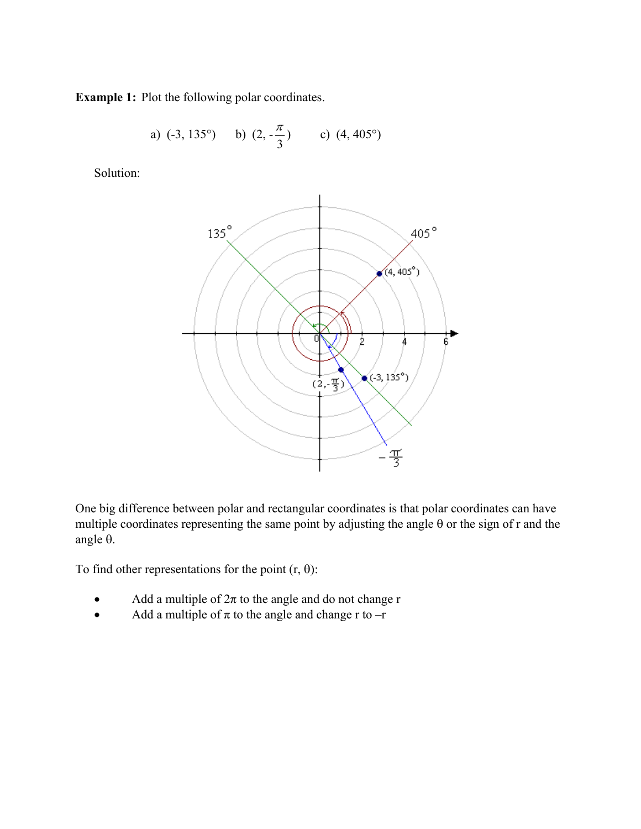**Example 1:** Plot the following polar coordinates.

a) (-3, 135°) b) (2, 
$$
-\frac{\pi}{3}
$$
) c) (4, 405°)

Solution:



One big difference between polar and rectangular coordinates is that polar coordinates can have multiple coordinates representing the same point by adjusting the angle θ or the sign of r and the angle θ.

To find other representations for the point  $(r, \theta)$ :

- Add a multiple of  $2\pi$  to the angle and do not change r
- Add a multiple of  $\pi$  to the angle and change r to  $-r$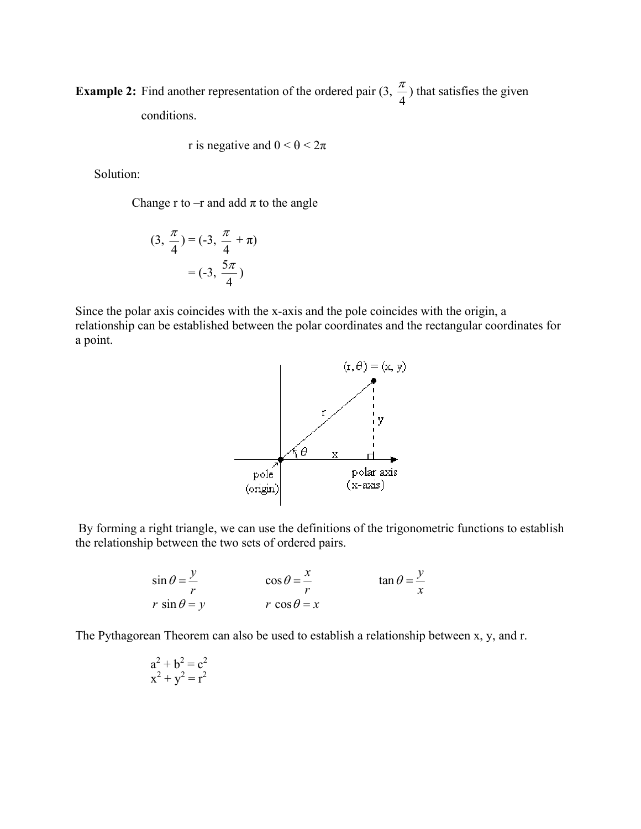**Example 2:** Find another representation of the ordered pair  $(3, \frac{\pi}{4})$  that satisfies the given conditions.

r is negative and 
$$
0 < \theta < 2\pi
$$

Solution:

Change r to  $-r$  and add  $\pi$  to the angle

$$
(3, \frac{\pi}{4}) = (-3, \frac{\pi}{4} + \pi)
$$

$$
= (-3, \frac{5\pi}{4})
$$

Since the polar axis coincides with the x-axis and the pole coincides with the origin, a relationship can be established between the polar coordinates and the rectangular coordinates for a point.



 By forming a right triangle, we can use the definitions of the trigonometric functions to establish the relationship between the two sets of ordered pairs.

$$
\sin \theta = \frac{y}{r} \qquad \qquad \cos \theta = \frac{x}{r} \qquad \qquad \tan \theta = \frac{y}{x}
$$
  

$$
r \sin \theta = y \qquad \qquad r \cos \theta = x
$$

The Pythagorean Theorem can also be used to establish a relationship between x, y, and r.

$$
a2 + b2 = c2
$$

$$
x2 + y2 = r2
$$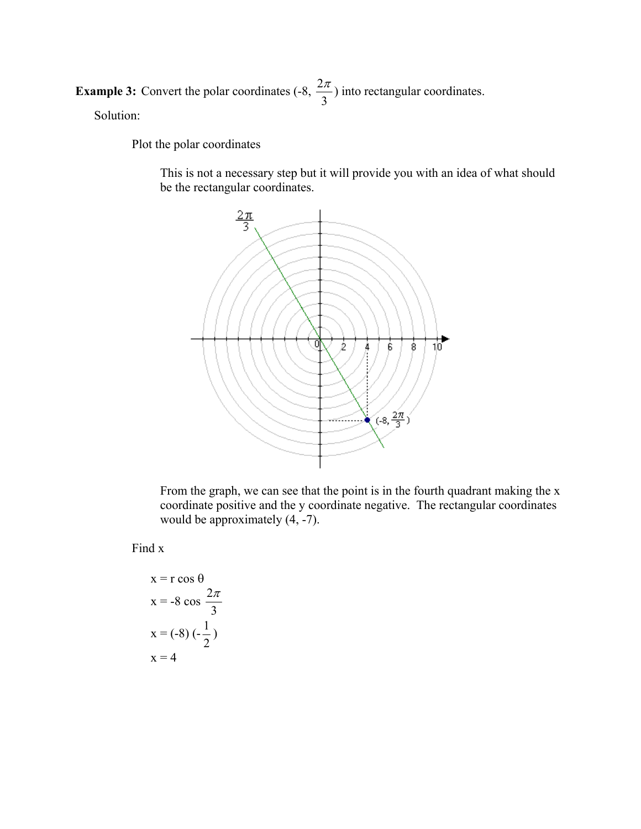**Example 3:** Convert the polar coordinates  $(-8, \frac{2}{3})$ 3  $\frac{\pi}{\pi}$ ) into rectangular coordinates. Solution:

Plot the polar coordinates

 This is not a necessary step but it will provide you with an idea of what should be the rectangular coordinates.



 From the graph, we can see that the point is in the fourth quadrant making the x coordinate positive and the y coordinate negative. The rectangular coordinates would be approximately  $(4, -7)$ .

Find x

$$
x = r \cos \theta
$$
  

$$
x = -8 \cos \frac{2\pi}{3}
$$
  

$$
x = (-8) (-\frac{1}{2})
$$
  

$$
x = 4
$$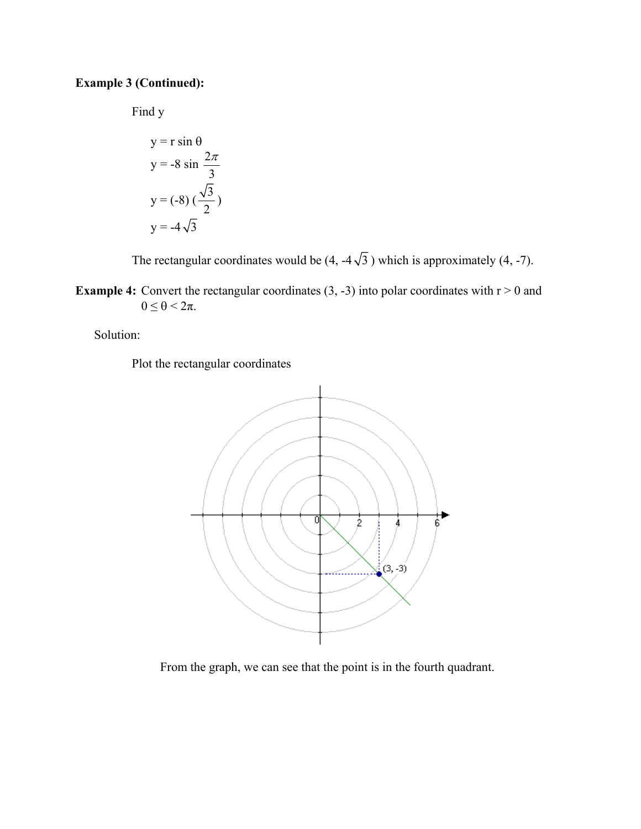## **Example 3 (Continued):**

Find y

$$
y = r \sin \theta
$$
  

$$
y = -8 \sin \frac{2\pi}{3}
$$
  

$$
y = (-8) (\frac{\sqrt{3}}{2})
$$
  

$$
y = -4\sqrt{3}
$$

The rectangular coordinates would be  $(4, -4\sqrt{3})$  which is approximately  $(4, -7)$ .

**Example 4:** Convert the rectangular coordinates  $(3, -3)$  into polar coordinates with  $r > 0$  and  $0 \leq \theta \leq 2\pi$ .

Solution:

Plot the rectangular coordinates



From the graph, we can see that the point is in the fourth quadrant.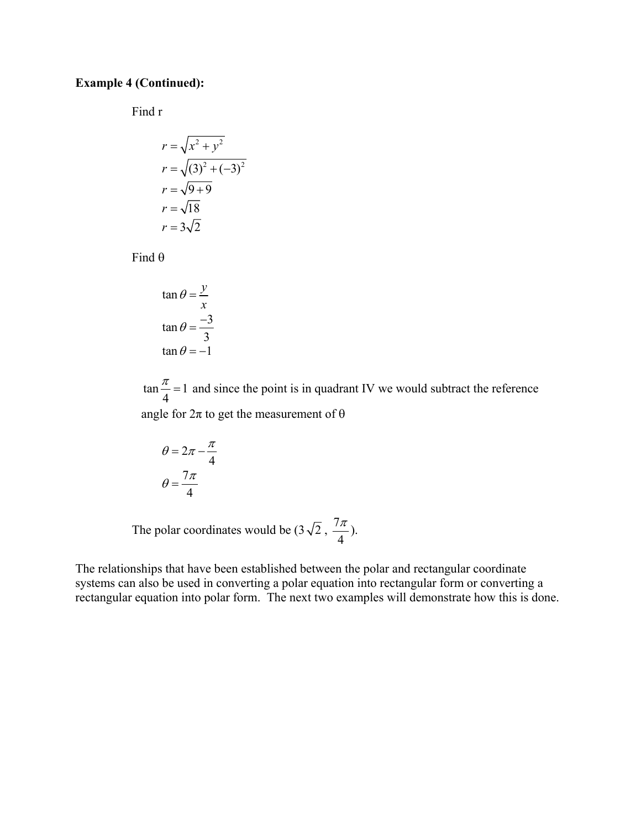## **Example 4 (Continued):**

Find r

$$
r = \sqrt{x^2 + y^2}
$$
  
\n
$$
r = \sqrt{(3)^2 + (-3)^2}
$$
  
\n
$$
r = \sqrt{9 + 9}
$$
  
\n
$$
r = \sqrt{18}
$$
  
\n
$$
r = 3\sqrt{2}
$$

Find  $\theta$ 

$$
\tan \theta = \frac{y}{x}
$$

$$
\tan \theta = \frac{-3}{3}
$$

$$
\tan \theta = -1
$$

 $\tan \frac{\pi}{1} = 1$ 4  $\frac{\pi}{\pi}$  = 1 and since the point is in quadrant IV we would subtract the reference

angle for  $2\pi$  to get the measurement of  $\theta$ 

$$
\theta = 2\pi - \frac{\pi}{4}
$$

$$
\theta = \frac{7\pi}{4}
$$

The polar coordinates would be  $(3\sqrt{2}, \frac{7}{2})$ 4  $\frac{\pi}{\cdot}$ ).

The relationships that have been established between the polar and rectangular coordinate systems can also be used in converting a polar equation into rectangular form or converting a rectangular equation into polar form. The next two examples will demonstrate how this is done.